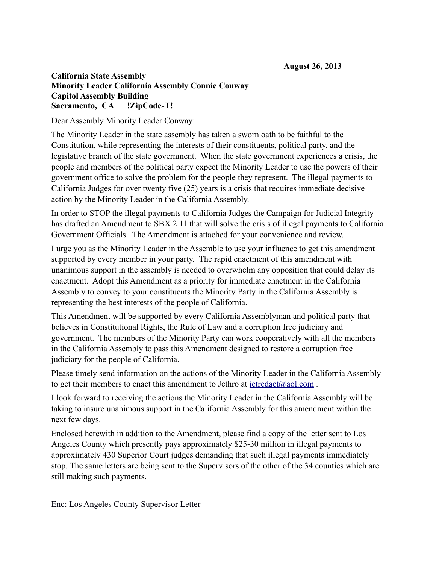## **California State Assembly Minority Leader California Assembly Connie Conway Capitol Assembly Building Sacramento, CA !ZipCode-T!**

Dear Assembly Minority Leader Conway:

The Minority Leader in the state assembly has taken a sworn oath to be faithful to the Constitution, while representing the interests of their constituents, political party, and the legislative branch of the state government. When the state government experiences a crisis, the people and members of the political party expect the Minority Leader to use the powers of their government office to solve the problem for the people they represent. The illegal payments to California Judges for over twenty five (25) years is a crisis that requires immediate decisive action by the Minority Leader in the California Assembly.

In order to STOP the illegal payments to California Judges the Campaign for Judicial Integrity has drafted an Amendment to SBX 2 11 that will solve the crisis of illegal payments to California Government Officials. The Amendment is attached for your convenience and review.

I urge you as the Minority Leader in the Assemble to use your influence to get this amendment supported by every member in your party. The rapid enactment of this amendment with unanimous support in the assembly is needed to overwhelm any opposition that could delay its enactment. Adopt this Amendment as a priority for immediate enactment in the California Assembly to convey to your constituents the Minority Party in the California Assembly is representing the best interests of the people of California.

This Amendment will be supported by every California Assemblyman and political party that believes in Constitutional Rights, the Rule of Law and a corruption free judiciary and government. The members of the Minority Party can work cooperatively with all the members in the California Assembly to pass this Amendment designed to restore a corruption free judiciary for the people of California.

Please timely send information on the actions of the Minority Leader in the California Assembly to get their members to enact this amendment to Jethro at  $\text{jetredact}(a)$  aol.com.

I look forward to receiving the actions the Minority Leader in the California Assembly will be taking to insure unanimous support in the California Assembly for this amendment within the next few days.

Enclosed herewith in addition to the Amendment, please find a copy of the letter sent to Los Angeles County which presently pays approximately \$25-30 million in illegal payments to approximately 430 Superior Court judges demanding that such illegal payments immediately stop. The same letters are being sent to the Supervisors of the other of the 34 counties which are still making such payments.

Enc: Los Angeles County Supervisor Letter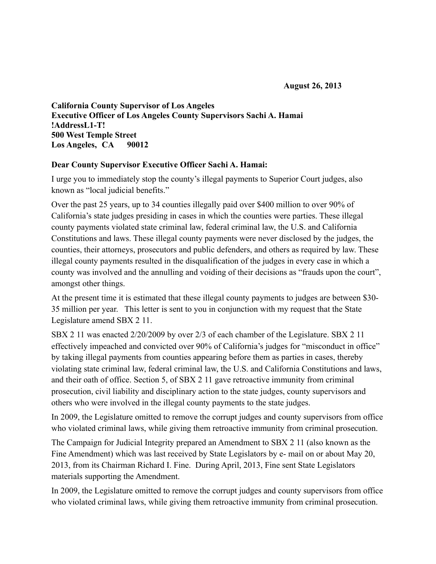**California County Supervisor of Los Angeles Executive Officer of Los Angeles County Supervisors Sachi A. Hamai !AddressL1-T! 500 West Temple Street Los Angeles, CA 90012**

## **Dear County Supervisor Executive Officer Sachi A. Hamai:**

I urge you to immediately stop the county's illegal payments to Superior Court judges, also known as "local judicial benefits."

Over the past 25 years, up to 34 counties illegally paid over \$400 million to over 90% of California's state judges presiding in cases in which the counties were parties. These illegal county payments violated state criminal law, federal criminal law, the U.S. and California Constitutions and laws. These illegal county payments were never disclosed by the judges, the counties, their attorneys, prosecutors and public defenders, and others as required by law. These illegal county payments resulted in the disqualification of the judges in every case in which a county was involved and the annulling and voiding of their decisions as "frauds upon the court", amongst other things.

At the present time it is estimated that these illegal county payments to judges are between \$30- 35 million per year. This letter is sent to you in conjunction with my request that the State Legislature amend SBX 2 11.

SBX 2 11 was enacted 2/20/2009 by over 2/3 of each chamber of the Legislature. SBX 2 11 effectively impeached and convicted over 90% of California's judges for "misconduct in office" by taking illegal payments from counties appearing before them as parties in cases, thereby violating state criminal law, federal criminal law, the U.S. and California Constitutions and laws, and their oath of office. Section 5, of SBX 2 11 gave retroactive immunity from criminal prosecution, civil liability and disciplinary action to the state judges, county supervisors and others who were involved in the illegal county payments to the state judges.

In 2009, the Legislature omitted to remove the corrupt judges and county supervisors from office who violated criminal laws, while giving them retroactive immunity from criminal prosecution.

The Campaign for Judicial Integrity prepared an Amendment to SBX 2 11 (also known as the Fine Amendment) which was last received by State Legislators by e- mail on or about May 20, 2013, from its Chairman Richard I. Fine. During April, 2013, Fine sent State Legislators materials supporting the Amendment.

In 2009, the Legislature omitted to remove the corrupt judges and county supervisors from office who violated criminal laws, while giving them retroactive immunity from criminal prosecution.